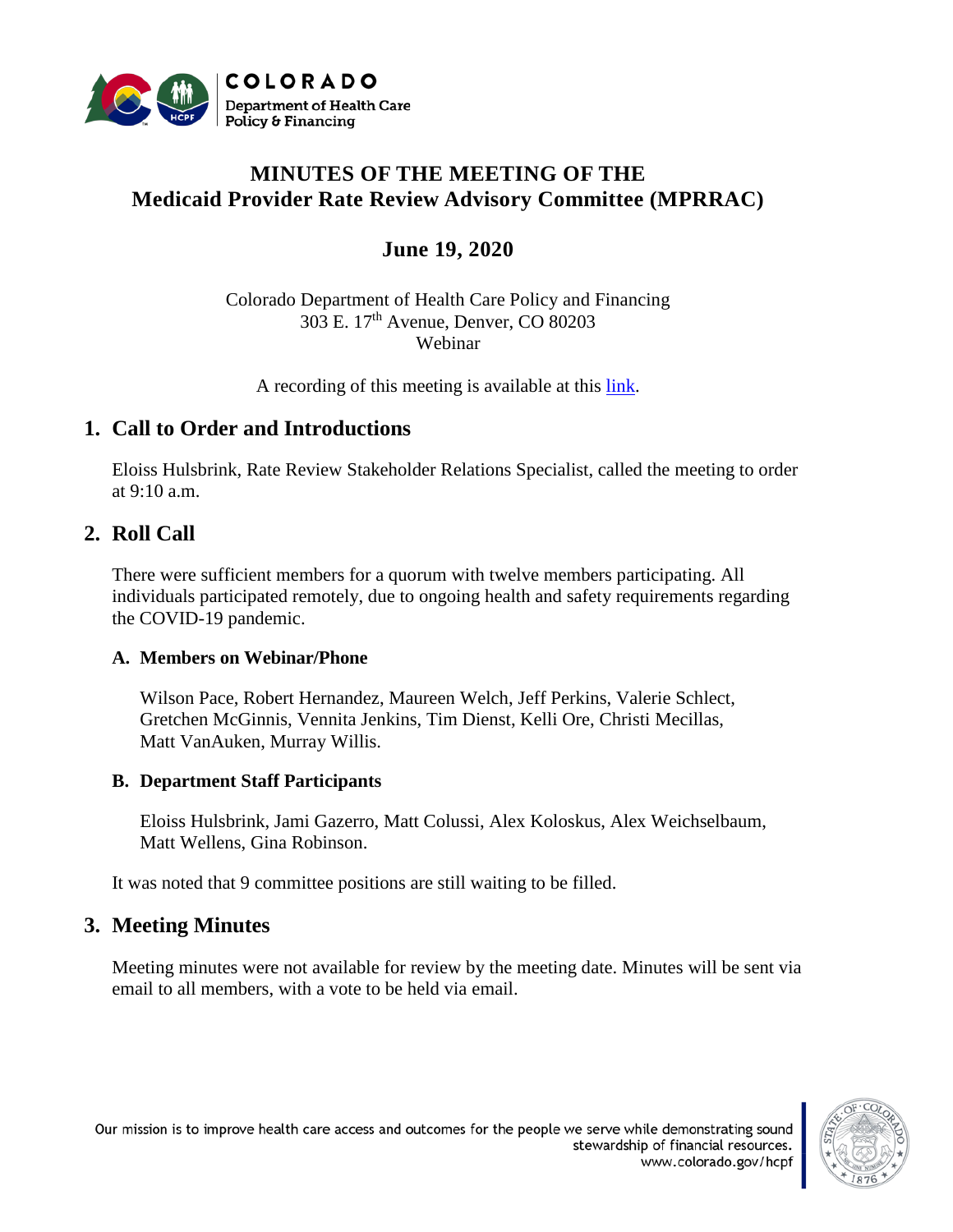

# **MINUTES OF THE MEETING OF THE Medicaid Provider Rate Review Advisory Committee (MPRRAC)**

# **June 19, 2020**

Colorado Department of Health Care Policy and Financing 303 E. 17th Avenue, Denver, CO 80203 Webinar

A recording of this meeting is available at this [link.](https://cohcpf.adobeconnect.com/pc2loa6y33l7/)

## **1. Call to Order and Introductions**

Eloiss Hulsbrink, Rate Review Stakeholder Relations Specialist, called the meeting to order at  $9:10$  a.m.

## **2. Roll Call**

There were sufficient members for a quorum with twelve members participating. All individuals participated remotely, due to ongoing health and safety requirements regarding the COVID-19 pandemic.

### **A. Members on Webinar/Phone**

Wilson Pace, Robert Hernandez, Maureen Welch, Jeff Perkins, Valerie Schlect, Gretchen McGinnis, Vennita Jenkins, Tim Dienst, Kelli Ore, Christi Mecillas, Matt VanAuken, Murray Willis.

### **B. Department Staff Participants**

Eloiss Hulsbrink, Jami Gazerro, Matt Colussi, Alex Koloskus, Alex Weichselbaum, Matt Wellens, Gina Robinson.

It was noted that 9 committee positions are still waiting to be filled.

## **3. Meeting Minutes**

Meeting minutes were not available for review by the meeting date. Minutes will be sent via email to all members, with a vote to be held via email.

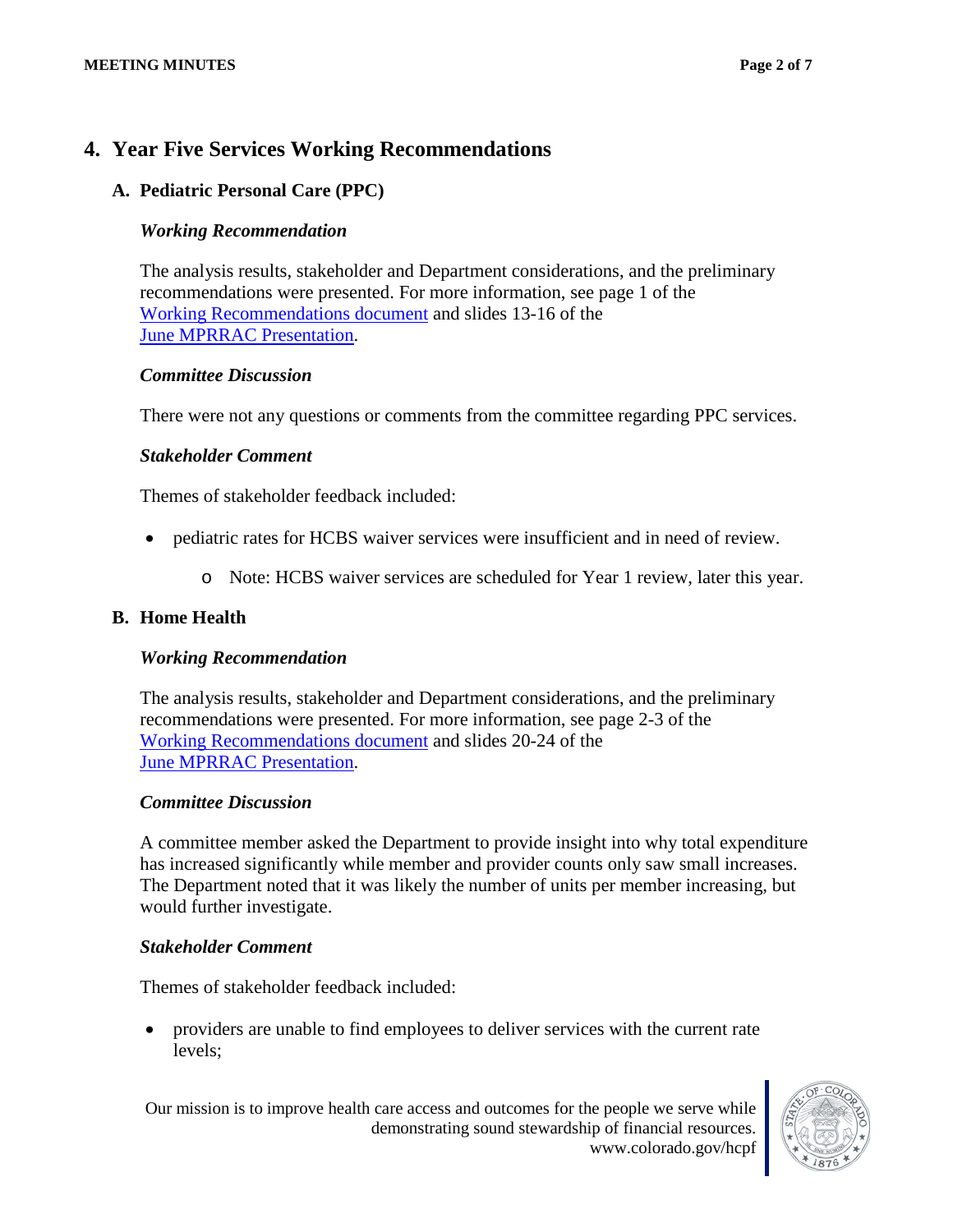## **4. Year Five Services Working Recommendations**

## **A. Pediatric Personal Care (PPC)**

### *Working Recommendation*

The analysis results, stakeholder and Department considerations, and the preliminary recommendations were presented. For more information, see page 1 of the [Working Recommendations document](https://www.colorado.gov/pacific/sites/default/files/Rate%20Review%20Working%20Recommendations_draft_june2020.pdf) and slides 13-16 of the [June MPRRAC Presentation.](https://www.colorado.gov/pacific/sites/default/files/MPRRAC_pwptslides_19June2020.pdf)

### *Committee Discussion*

There were not any questions or comments from the committee regarding PPC services.

## *Stakeholder Comment*

Themes of stakeholder feedback included:

- pediatric rates for HCBS waiver services were insufficient and in need of review.
	- o Note: HCBS waiver services are scheduled for Year 1 review, later this year.

## **B. Home Health**

### *Working Recommendation*

The analysis results, stakeholder and Department considerations, and the preliminary recommendations were presented. For more information, see page 2-3 of the [Working Recommendations document](https://www.colorado.gov/pacific/sites/default/files/Rate%20Review%20Working%20Recommendations_draft_june2020.pdf) and slides 20-24 of the [June MPRRAC Presentation.](https://www.colorado.gov/pacific/sites/default/files/MPRRAC_pwptslides_19June2020.pdf)

### *Committee Discussion*

A committee member asked the Department to provide insight into why total expenditure has increased significantly while member and provider counts only saw small increases. The Department noted that it was likely the number of units per member increasing, but would further investigate.

### *Stakeholder Comment*

Themes of stakeholder feedback included:

• providers are unable to find employees to deliver services with the current rate levels;

Our mission is to improve health care access and outcomes for the people we serve while demonstrating sound stewardship of financial resources. www.colorado.gov/hcpf

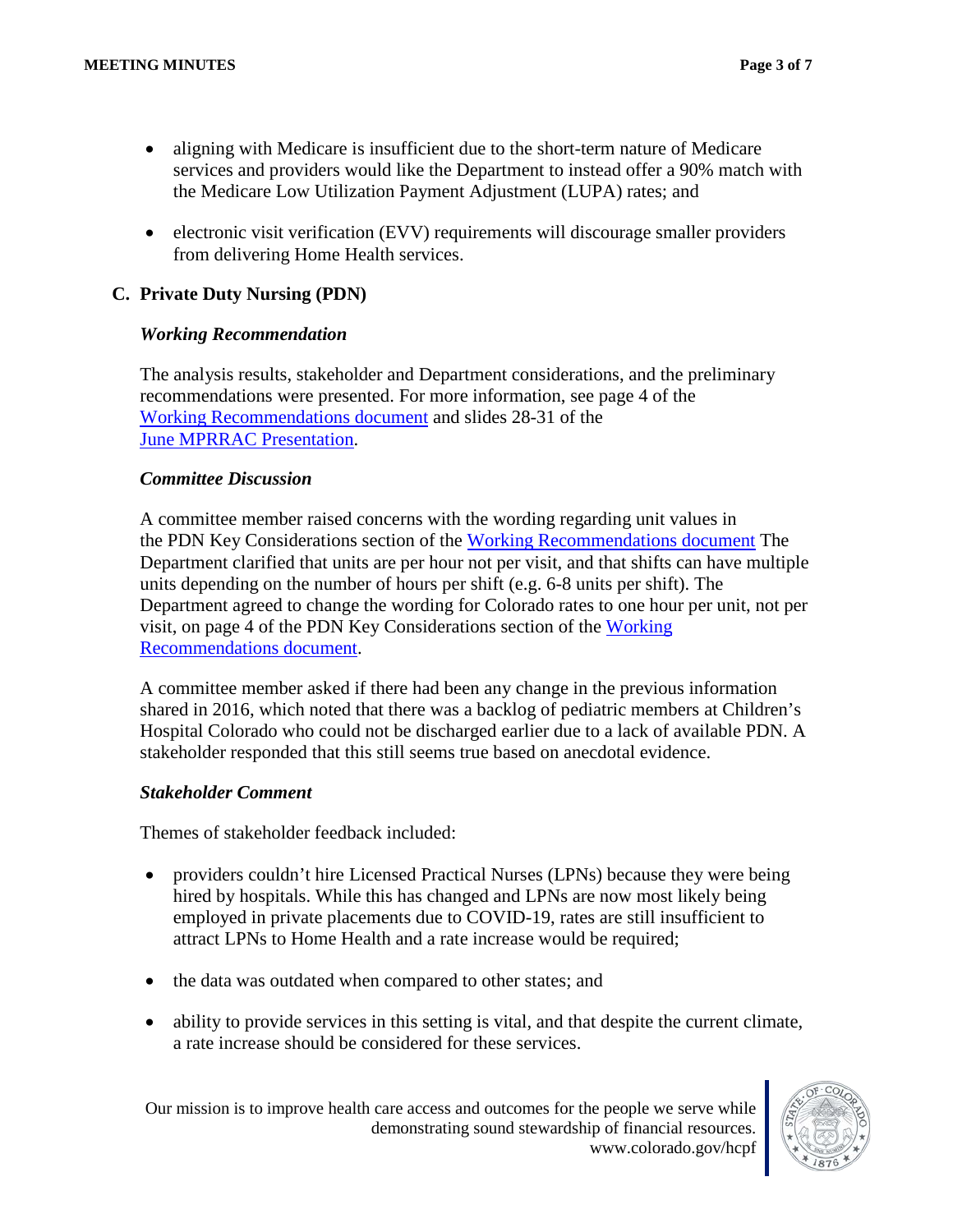- aligning with Medicare is insufficient due to the short-term nature of Medicare services and providers would like the Department to instead offer a 90% match with the Medicare Low Utilization Payment Adjustment (LUPA) rates; and
- electronic visit verification (EVV) requirements will discourage smaller providers from delivering Home Health services.

## **C. Private Duty Nursing (PDN)**

#### *Working Recommendation*

The analysis results, stakeholder and Department considerations, and the preliminary recommendations were presented. For more information, see page 4 of the [Working Recommendations document](https://www.colorado.gov/pacific/sites/default/files/Rate%20Review%20Working%20Recommendations_draft_june2020.pdf) and slides 28-31 of the [June MPRRAC Presentation.](https://www.colorado.gov/pacific/sites/default/files/MPRRAC_pwptslides_19June2020.pdf)

#### *Committee Discussion*

A committee member raised concerns with the wording regarding unit values in the PDN Key Considerations section of the [Working Recommendations document](https://www.colorado.gov/pacific/sites/default/files/Rate%20Review%20Working%20Recommendations_draft_june2020.pdf) The Department clarified that units are per hour not per visit, and that shifts can have multiple units depending on the number of hours per shift (e.g. 6-8 units per shift). The Department agreed to change the wording for Colorado rates to one hour per unit, not per visit, on page 4 of the PDN Key Considerations section of the [Working](https://www.colorado.gov/pacific/sites/default/files/Rate%20Review%20Working%20Recommendations_draft_june2020.pdf)  [Recommendations document.](https://www.colorado.gov/pacific/sites/default/files/Rate%20Review%20Working%20Recommendations_draft_june2020.pdf)

A committee member asked if there had been any change in the previous information shared in 2016, which noted that there was a backlog of pediatric members at Children's Hospital Colorado who could not be discharged earlier due to a lack of available PDN. A stakeholder responded that this still seems true based on anecdotal evidence.

#### *Stakeholder Comment*

Themes of stakeholder feedback included:

- providers couldn't hire Licensed Practical Nurses (LPNs) because they were being hired by hospitals. While this has changed and LPNs are now most likely being employed in private placements due to COVID-19, rates are still insufficient to attract LPNs to Home Health and a rate increase would be required;
- the data was outdated when compared to other states; and
- ability to provide services in this setting is vital, and that despite the current climate, a rate increase should be considered for these services.

Our mission is to improve health care access and outcomes for the people we serve while demonstrating sound stewardship of financial resources. www.colorado.gov/hcpf

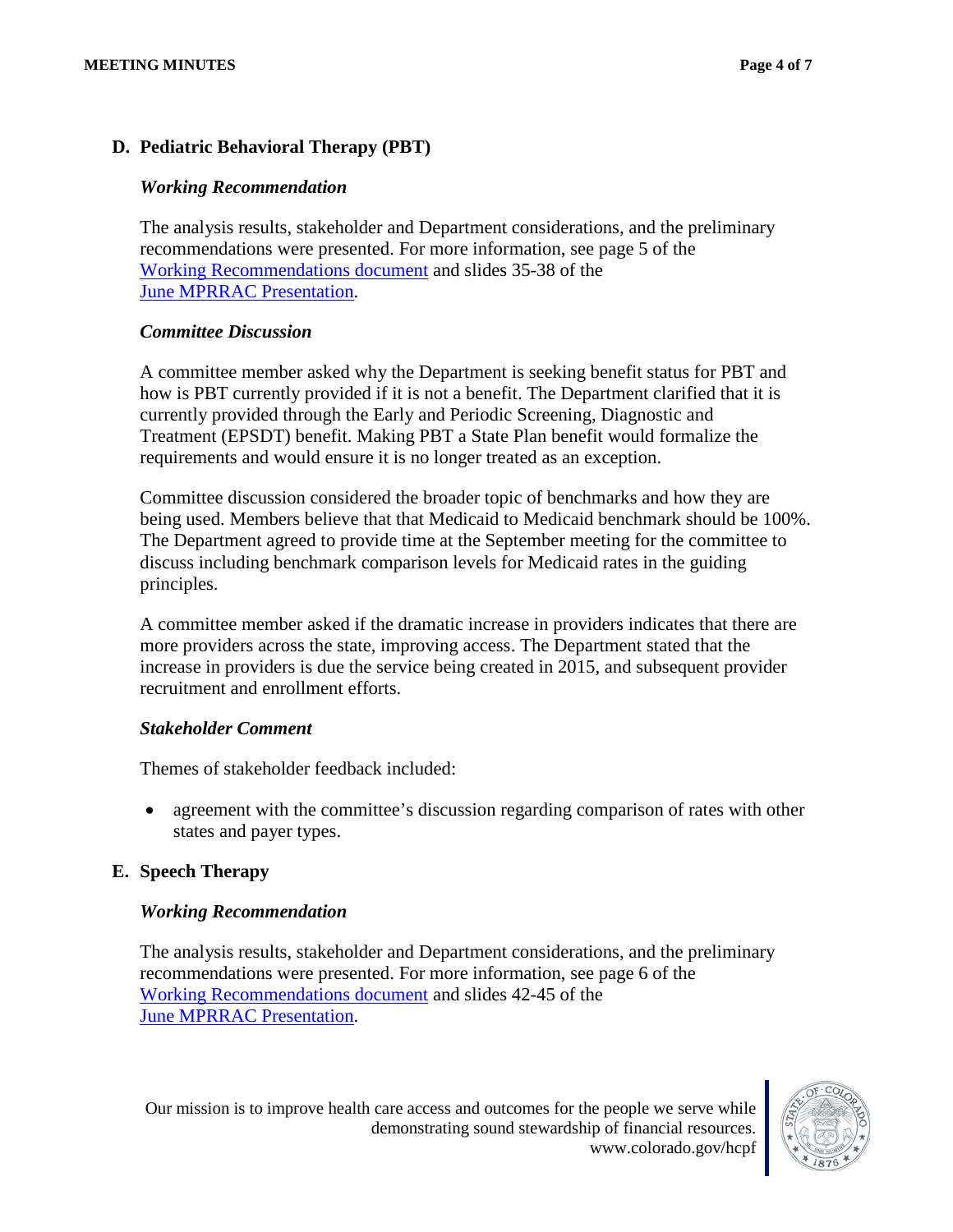## **D. Pediatric Behavioral Therapy (PBT)**

#### *Working Recommendation*

The analysis results, stakeholder and Department considerations, and the preliminary recommendations were presented. For more information, see page 5 of the [Working Recommendations document](https://www.colorado.gov/pacific/sites/default/files/Rate%20Review%20Working%20Recommendations_draft_june2020.pdf) and slides 35-38 of the [June MPRRAC Presentation.](https://www.colorado.gov/pacific/sites/default/files/MPRRAC_pwptslides_19June2020.pdf)

#### *Committee Discussion*

A committee member asked why the Department is seeking benefit status for PBT and how is PBT currently provided if it is not a benefit. The Department clarified that it is currently provided through the Early and Periodic Screening, Diagnostic and Treatment (EPSDT) benefit. Making PBT a State Plan benefit would formalize the requirements and would ensure it is no longer treated as an exception.

Committee discussion considered the broader topic of benchmarks and how they are being used. Members believe that that Medicaid to Medicaid benchmark should be 100%. The Department agreed to provide time at the September meeting for the committee to discuss including benchmark comparison levels for Medicaid rates in the guiding principles.

A committee member asked if the dramatic increase in providers indicates that there are more providers across the state, improving access. The Department stated that the increase in providers is due the service being created in 2015, and subsequent provider recruitment and enrollment efforts.

### *Stakeholder Comment*

Themes of stakeholder feedback included:

• agreement with the committee's discussion regarding comparison of rates with other states and payer types.

### **E. Speech Therapy**

### *Working Recommendation*

The analysis results, stakeholder and Department considerations, and the preliminary recommendations were presented. For more information, see page 6 of the [Working Recommendations document](https://www.colorado.gov/pacific/sites/default/files/Rate%20Review%20Working%20Recommendations_draft_june2020.pdf) and slides 42-45 of the [June MPRRAC Presentation.](https://www.colorado.gov/pacific/sites/default/files/MPRRAC_pwptslides_19June2020.pdf)

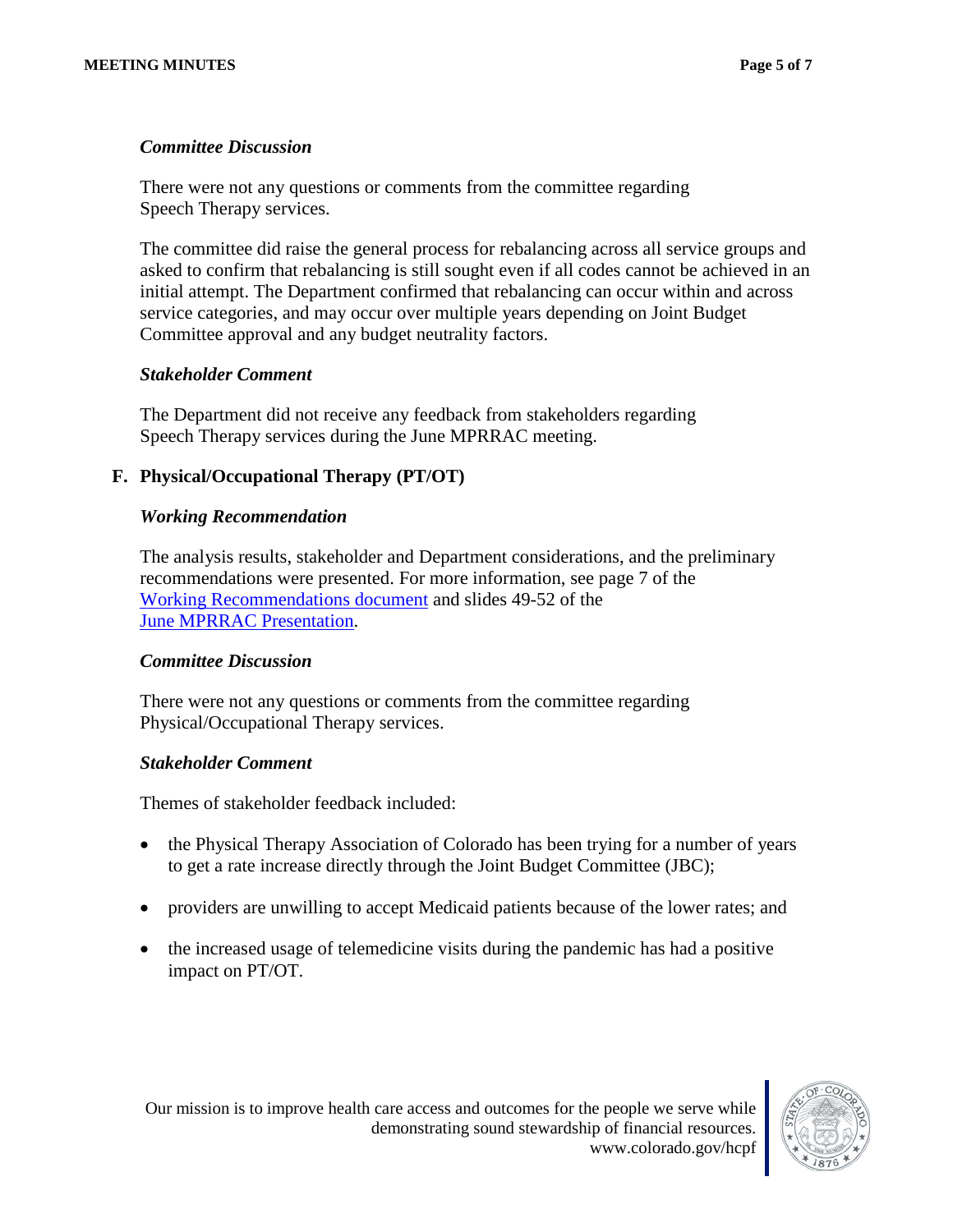#### *Committee Discussion*

There were not any questions or comments from the committee regarding Speech Therapy services.

The committee did raise the general process for rebalancing across all service groups and asked to confirm that rebalancing is still sought even if all codes cannot be achieved in an initial attempt. The Department confirmed that rebalancing can occur within and across service categories, and may occur over multiple years depending on Joint Budget Committee approval and any budget neutrality factors.

#### *Stakeholder Comment*

The Department did not receive any feedback from stakeholders regarding Speech Therapy services during the June MPRRAC meeting.

### **F. Physical/Occupational Therapy (PT/OT)**

#### *Working Recommendation*

The analysis results, stakeholder and Department considerations, and the preliminary recommendations were presented. For more information, see page 7 of the [Working Recommendations document](https://www.colorado.gov/pacific/sites/default/files/Rate%20Review%20Working%20Recommendations_draft_june2020.pdf) and slides 49-52 of the [June MPRRAC Presentation.](https://www.colorado.gov/pacific/sites/default/files/MPRRAC_pwptslides_19June2020.pdf)

#### *Committee Discussion*

There were not any questions or comments from the committee regarding Physical/Occupational Therapy services.

#### *Stakeholder Comment*

Themes of stakeholder feedback included:

- the Physical Therapy Association of Colorado has been trying for a number of years to get a rate increase directly through the Joint Budget Committee (JBC);
- providers are unwilling to accept Medicaid patients because of the lower rates; and
- the increased usage of telemedicine visits during the pandemic has had a positive impact on PT/OT.

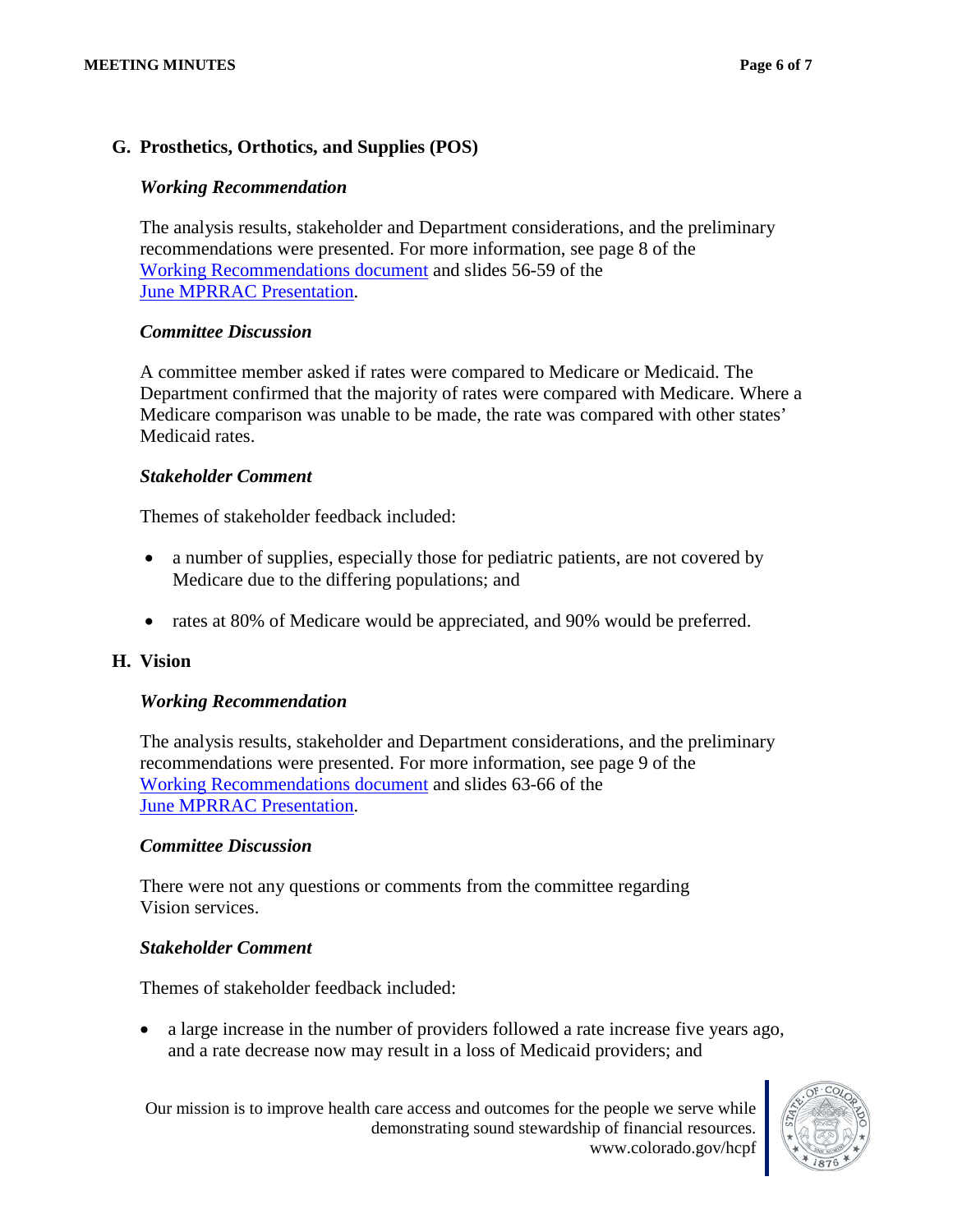### **G. Prosthetics, Orthotics, and Supplies (POS)**

#### *Working Recommendation*

The analysis results, stakeholder and Department considerations, and the preliminary recommendations were presented. For more information, see page 8 of the [Working Recommendations document](https://www.colorado.gov/pacific/sites/default/files/Rate%20Review%20Working%20Recommendations_draft_june2020.pdf) and slides 56-59 of the [June MPRRAC Presentation.](https://www.colorado.gov/pacific/sites/default/files/MPRRAC_pwptslides_19June2020.pdf)

#### *Committee Discussion*

A committee member asked if rates were compared to Medicare or Medicaid. The Department confirmed that the majority of rates were compared with Medicare. Where a Medicare comparison was unable to be made, the rate was compared with other states' Medicaid rates.

#### *Stakeholder Comment*

Themes of stakeholder feedback included:

- a number of supplies, especially those for pediatric patients, are not covered by Medicare due to the differing populations; and
- rates at 80% of Medicare would be appreciated, and 90% would be preferred.

#### **H. Vision**

#### *Working Recommendation*

The analysis results, stakeholder and Department considerations, and the preliminary recommendations were presented. For more information, see page 9 of the [Working Recommendations document](https://www.colorado.gov/pacific/sites/default/files/Rate%20Review%20Working%20Recommendations_draft_june2020.pdf) and slides 63-66 of the [June MPRRAC Presentation.](https://www.colorado.gov/pacific/sites/default/files/MPRRAC_pwptslides_19June2020.pdf)

#### *Committee Discussion*

There were not any questions or comments from the committee regarding Vision services.

#### *Stakeholder Comment*

Themes of stakeholder feedback included:

• a large increase in the number of providers followed a rate increase five years ago, and a rate decrease now may result in a loss of Medicaid providers; and

Our mission is to improve health care access and outcomes for the people we serve while demonstrating sound stewardship of financial resources. www.colorado.gov/hcpf